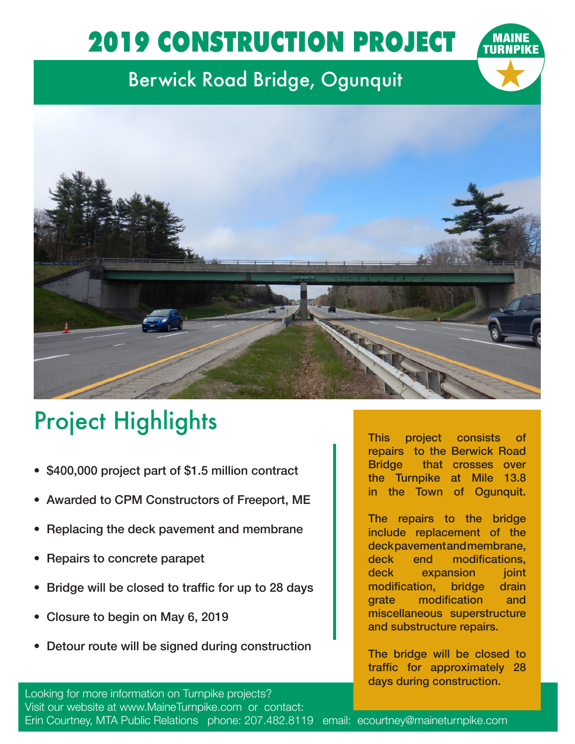## 2019 CONSTRUCTION PROJECT

## Berwick Road Bridge, Ogunquit



## Project Highlights

- \$400,000 project part of \$1.5 million contract
- Awarded to CPM Constructors of Freeport, ME
- Replacing the deck pavement and membrane
- Repairs to concrete parapet
- Bridge will be closed to traffic for up to 28 days
- Closure to begin on May 6, 2019
- Detour route will be signed during construction

This project consists of repairs to the Berwick Road Bridge that crosses over the Turnpike at Mile 13.8 in the Town of Ogunquit.

The repairs to the bridge include replacement of the deck pavement and membrane, deck end modifications, deck expansion joint modification, bridge drain grate modification and miscellaneous superstructure and substructure repairs.

The bridge will be closed to traffic for approximately 28 days during construction.

Looking for more information on Turnpike projects? Visit our website at www.MaineTurnpike.com or contact: Erin Courtney, MTA Public Relations phone: 207.482.8119 email: ecourtney@maineturnpike.com